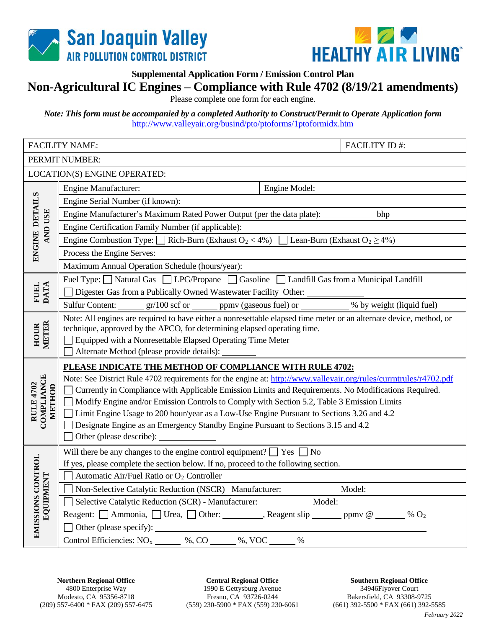



**Supplemental Application Form / Emission Control Plan**

## **Non-Agricultural IC Engines – Compliance with Rule 4702 (8/19/21 amendments)**

Please complete one form for each engine.

*Note: This form must be accompanied by a completed Authority to Construct/Permit to Operate Application form* <http://www.valleyair.org/busind/pto/ptoforms/1ptoformidx.htm>

|                                                 | <b>FACILITY NAME:</b>                                                                                                                                                                                                                                                                                       | <b>FACILITY ID#:</b> |  |  |  |
|-------------------------------------------------|-------------------------------------------------------------------------------------------------------------------------------------------------------------------------------------------------------------------------------------------------------------------------------------------------------------|----------------------|--|--|--|
| PERMIT NUMBER:                                  |                                                                                                                                                                                                                                                                                                             |                      |  |  |  |
| LOCATION(S) ENGINE OPERATED:                    |                                                                                                                                                                                                                                                                                                             |                      |  |  |  |
| ENGINE DETAILS<br><b>AND USE</b>                | <b>Engine Manufacturer:</b><br>Engine Model:                                                                                                                                                                                                                                                                |                      |  |  |  |
|                                                 | Engine Serial Number (if known):                                                                                                                                                                                                                                                                            |                      |  |  |  |
|                                                 | Engine Manufacturer's Maximum Rated Power Output (per the data plate): ___________ bhp                                                                                                                                                                                                                      |                      |  |  |  |
|                                                 | Engine Certification Family Number (if applicable):                                                                                                                                                                                                                                                         |                      |  |  |  |
|                                                 | Engine Combustion Type: $\Box$ Rich-Burn (Exhaust O <sub>2</sub> < 4%) $\Box$ Lean-Burn (Exhaust O <sub>2</sub> ≥ 4%)                                                                                                                                                                                       |                      |  |  |  |
|                                                 | Process the Engine Serves:                                                                                                                                                                                                                                                                                  |                      |  |  |  |
|                                                 | Maximum Annual Operation Schedule (hours/year):                                                                                                                                                                                                                                                             |                      |  |  |  |
| FUEL<br>DATA                                    | Fuel Type: Natural Gas   LPG/Propane   Gasoline   Landfill Gas from a Municipal Landfill                                                                                                                                                                                                                    |                      |  |  |  |
|                                                 | Digester Gas from a Publically Owned Wastewater Facility Other:                                                                                                                                                                                                                                             |                      |  |  |  |
|                                                 | Sulfur Content: _______ gr/100 scf or _______ ppmv (gaseous fuel) or __________ % by weight (liquid fuel)                                                                                                                                                                                                   |                      |  |  |  |
| HOUR<br>METER                                   | Note: All engines are required to have either a nonresettable elapsed time meter or an alternate device, method, or<br>technique, approved by the APCO, for determining elapsed operating time.<br>Equipped with a Nonresettable Elapsed Operating Time Meter<br>Alternate Method (please provide details): |                      |  |  |  |
|                                                 | PLEASE INDICATE THE METHOD OF COMPLIANCE WITH RULE 4702:                                                                                                                                                                                                                                                    |                      |  |  |  |
| <b>COMPLIANCE</b><br><b>RULE 4702</b><br>METHOD | Note: See District Rule 4702 requirements for the engine at: http://www.valleyair.org/rules/currntrules/r4702.pdf                                                                                                                                                                                           |                      |  |  |  |
|                                                 | Currently in Compliance with Applicable Emission Limits and Requirements. No Modifications Required.                                                                                                                                                                                                        |                      |  |  |  |
|                                                 | Modify Engine and/or Emission Controls to Comply with Section 5.2, Table 3 Emission Limits                                                                                                                                                                                                                  |                      |  |  |  |
|                                                 | Limit Engine Usage to 200 hour/year as a Low-Use Engine Pursuant to Sections 3.26 and 4.2                                                                                                                                                                                                                   |                      |  |  |  |
|                                                 | Designate Engine as an Emergency Standby Engine Pursuant to Sections 3.15 and 4.2                                                                                                                                                                                                                           |                      |  |  |  |
|                                                 |                                                                                                                                                                                                                                                                                                             |                      |  |  |  |
| EMISSIONS CONTROL<br>EQUIPMENT                  | Will there be any changes to the engine control equipment? $\Box$ Yes $\Box$ No                                                                                                                                                                                                                             |                      |  |  |  |
|                                                 | If yes, please complete the section below. If no, proceed to the following section.                                                                                                                                                                                                                         |                      |  |  |  |
|                                                 | Automatic Air/Fuel Ratio or O <sub>2</sub> Controller                                                                                                                                                                                                                                                       |                      |  |  |  |
|                                                 | Non-Selective Catalytic Reduction (NSCR) Manufacturer: _____________ Model: ___________                                                                                                                                                                                                                     |                      |  |  |  |
|                                                 | Selective Catalytic Reduction (SCR) - Manufacturer: ____________ Model: _________                                                                                                                                                                                                                           |                      |  |  |  |
|                                                 | Reagent: $\Box$ Ammonia, $\Box$ Urea, $\Box$ Other: _________, Reagent slip _______ ppmv @ ______ % O <sub>2</sub>                                                                                                                                                                                          |                      |  |  |  |
|                                                 | $\%$                                                                                                                                                                                                                                                                                                        |                      |  |  |  |

**Central Regional Office** 1990 E Gettysburg Avenue Fresno, CA 93726-0244 (559) 230-5900 \* FAX (559) 230-6061

**Southern Regional Office** 34946Flyover Court Bakersfield, CA 93308-9725 (661) 392-5500 \* FAX (661) 392-5585